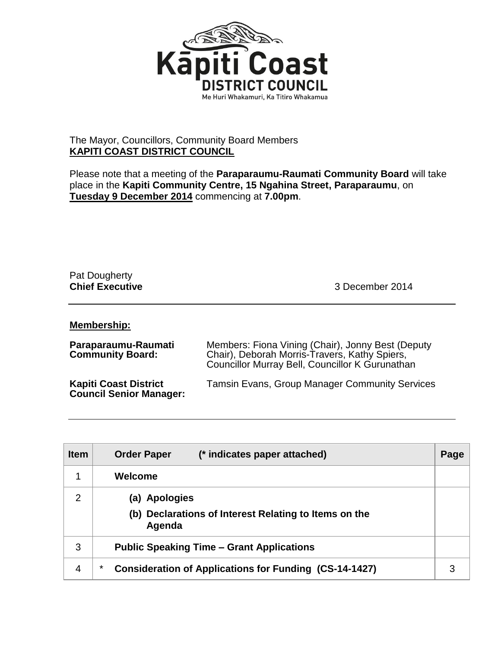

## The Mayor, Councillors, Community Board Members **KAPITI COAST DISTRICT COUNCIL**

Please note that a meeting of the **Paraparaumu-Raumati Community Board** will take place in the **Kapiti Community Centre, 15 Ngahina Street, Paraparaumu**, on **Tuesday 9 December 2014** commencing at **7.00pm**.

## Pat Dougherty

**Chief Executive** 3 December 2014

## **Membership:**

| Paraparaumu-Raumati<br><b>Community Board:</b>                 | Members: Fiona Vining (Chair), Jonny Best (Deputy<br>Chair), Deborah Morris-Travers, Kathy Spiers,<br>Councillor Murray Bell, Councillor K Gurunathan |
|----------------------------------------------------------------|-------------------------------------------------------------------------------------------------------------------------------------------------------|
| <b>Kapiti Coast District</b><br><b>Council Senior Manager:</b> | <b>Tamsin Evans, Group Manager Community Services</b>                                                                                                 |

| <b>Item</b>    | <b>Order Paper</b><br>(* indicates paper attached)                                         | Page |
|----------------|--------------------------------------------------------------------------------------------|------|
|                | Welcome                                                                                    |      |
| $\overline{2}$ | <b>Apologies</b><br>(a)<br>(b) Declarations of Interest Relating to Items on the<br>Agenda |      |
| 3              | <b>Public Speaking Time – Grant Applications</b>                                           |      |
| 4              | *<br><b>Consideration of Applications for Funding (CS-14-1427)</b>                         | 3    |